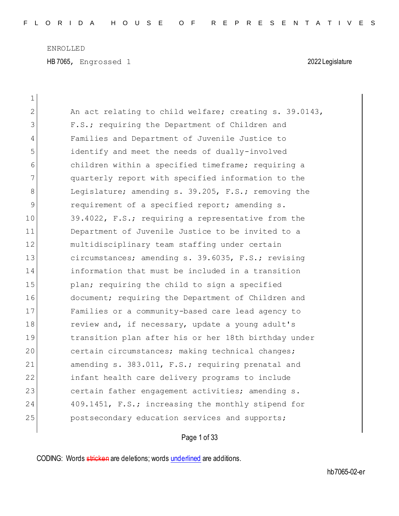HB 7065, Engrossed 1 2022 Legislature

| $\mathbf 1$    |                                                        |
|----------------|--------------------------------------------------------|
| $\overline{2}$ | An act relating to child welfare; creating s. 39.0143, |
| 3              | F.S.; requiring the Department of Children and         |
| 4              | Families and Department of Juvenile Justice to         |
| 5              | identify and meet the needs of dually-involved         |
| 6              | children within a specified timeframe; requiring a     |
| 7              | quarterly report with specified information to the     |
| 8              | Legislature; amending s. 39.205, F.S.; removing the    |
| 9              | requirement of a specified report; amending s.         |
| 10             | 39.4022, F.S.; requiring a representative from the     |
| 11             | Department of Juvenile Justice to be invited to a      |
| 12             | multidisciplinary team staffing under certain          |
| 13             | circumstances; amending s. 39.6035, F.S.; revising     |
| 14             | information that must be included in a transition      |
| 15             | plan; requiring the child to sign a specified          |
| 16             | document; requiring the Department of Children and     |
| 17             | Families or a community-based care lead agency to      |
| 18             | review and, if necessary, update a young adult's       |
| 19             | transition plan after his or her 18th birthday under   |
| 20             | certain circumstances; making technical changes;       |
| 21             | amending s. 383.011, F.S.; requiring prenatal and      |
| 22             | infant health care delivery programs to include        |
| 23             | certain father engagement activities; amending s.      |
| 24             | 409.1451, F.S.; increasing the monthly stipend for     |
| 25             | postsecondary education services and supports;         |
|                |                                                        |

# Page 1 of 33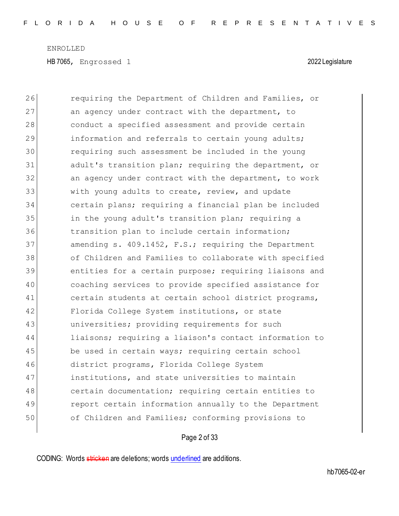| 26 | requiring the Department of Children and Families, or  |
|----|--------------------------------------------------------|
| 27 | an agency under contract with the department, to       |
| 28 | conduct a specified assessment and provide certain     |
| 29 | information and referrals to certain young adults;     |
| 30 | requiring such assessment be included in the young     |
| 31 | adult's transition plan; requiring the department, or  |
| 32 | an agency under contract with the department, to work  |
| 33 | with young adults to create, review, and update        |
| 34 | certain plans; requiring a financial plan be included  |
| 35 | in the young adult's transition plan; requiring a      |
| 36 | transition plan to include certain information;        |
| 37 | amending s. 409.1452, F.S.; requiring the Department   |
| 38 | of Children and Families to collaborate with specified |
| 39 | entities for a certain purpose; requiring liaisons and |
| 40 | coaching services to provide specified assistance for  |
| 41 | certain students at certain school district programs,  |
| 42 | Florida College System institutions, or state          |
| 43 | universities; providing requirements for such          |
| 44 | liaisons; requiring a liaison's contact information to |
| 45 | be used in certain ways; requiring certain school      |
| 46 | district programs, Florida College System              |
| 47 | institutions, and state universities to maintain       |
| 48 | certain documentation; requiring certain entities to   |
| 49 | report certain information annually to the Department  |
| 50 | of Children and Families; conforming provisions to     |
|    |                                                        |

# Page 2 of 33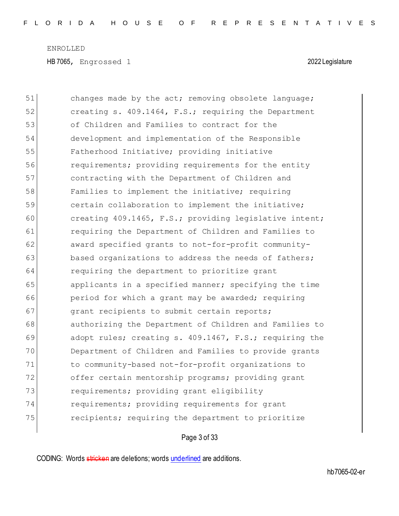| 51 | changes made by the act; removing obsolete language;   |
|----|--------------------------------------------------------|
| 52 | creating s. 409.1464, F.S.; requiring the Department   |
| 53 | of Children and Families to contract for the           |
| 54 | development and implementation of the Responsible      |
| 55 | Fatherhood Initiative; providing initiative            |
| 56 | requirements; providing requirements for the entity    |
| 57 | contracting with the Department of Children and        |
| 58 | Families to implement the initiative; requiring        |
| 59 | certain collaboration to implement the initiative;     |
| 60 | creating 409.1465, F.S.; providing legislative intent; |
| 61 | requiring the Department of Children and Families to   |
| 62 | award specified grants to not-for-profit community-    |
| 63 | based organizations to address the needs of fathers;   |
| 64 | requiring the department to prioritize grant           |
| 65 | applicants in a specified manner; specifying the time  |
| 66 | period for which a grant may be awarded; requiring     |
| 67 | grant recipients to submit certain reports;            |
| 68 | authorizing the Department of Children and Families to |
| 69 | adopt rules; creating s. 409.1467, F.S.; requiring the |
| 70 | Department of Children and Families to provide grants  |
| 71 | to community-based not-for-profit organizations to     |
| 72 | offer certain mentorship programs; providing grant     |
| 73 | requirements; providing grant eligibility              |
| 74 | requirements; providing requirements for grant         |
| 75 | recipients; requiring the department to prioritize     |
|    |                                                        |

# Page 3 of 33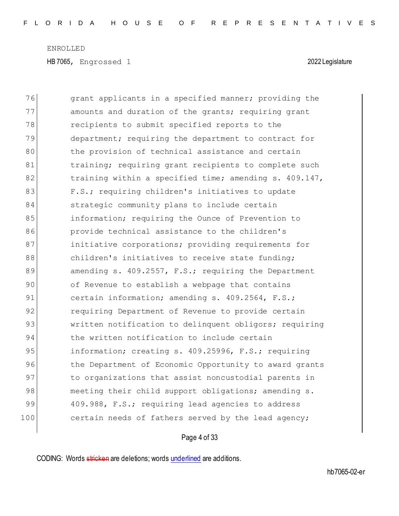| 76  | grant applicants in a specified manner; providing the  |
|-----|--------------------------------------------------------|
| 77  | amounts and duration of the grants; requiring grant    |
| 78  | recipients to submit specified reports to the          |
| 79  | department; requiring the department to contract for   |
| 80  | the provision of technical assistance and certain      |
| 81  | training; requiring grant recipients to complete such  |
| 82  | training within a specified time; amending s. 409.147, |
| 83  | F.S.; requiring children's initiatives to update       |
| 84  | strategic community plans to include certain           |
| 85  | information; requiring the Ounce of Prevention to      |
| 86  | provide technical assistance to the children's         |
| 87  | initiative corporations; providing requirements for    |
| 88  | children's initiatives to receive state funding;       |
| 89  | amending s. 409.2557, F.S.; requiring the Department   |
| 90  | of Revenue to establish a webpage that contains        |
| 91  | certain information; amending s. 409.2564, F.S.;       |
| 92  | requiring Department of Revenue to provide certain     |
| 93  | written notification to delinquent obligors; requiring |
| 94  | the written notification to include certain            |
| 95  | information; creating s. 409.25996, F.S.; requiring    |
| 96  | the Department of Economic Opportunity to award grants |
| 97  | to organizations that assist noncustodial parents in   |
| 98  | meeting their child support obligations; amending s.   |
| 99  | 409.988, F.S.; requiring lead agencies to address      |
| 100 | certain needs of fathers served by the lead agency;    |

# Page 4 of 33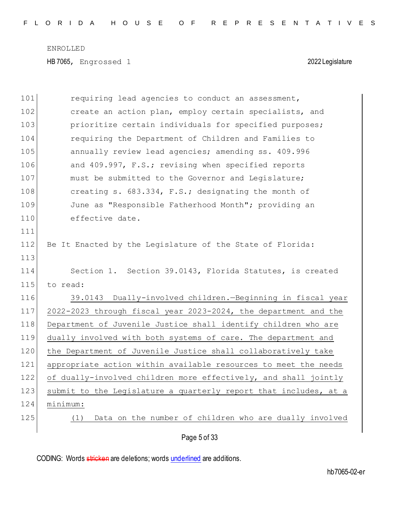| 101 | requiring lead agencies to conduct an assessment,                |
|-----|------------------------------------------------------------------|
| 102 | create an action plan, employ certain specialists, and           |
| 103 | prioritize certain individuals for specified purposes;           |
| 104 | requiring the Department of Children and Families to             |
| 105 | annually review lead agencies; amending ss. 409.996              |
| 106 | and 409.997, F.S.; revising when specified reports               |
| 107 | must be submitted to the Governor and Legislature;               |
| 108 | creating s. 683.334, F.S.; designating the month of              |
| 109 | June as "Responsible Fatherhood Month"; providing an             |
| 110 | effective date.                                                  |
| 111 |                                                                  |
| 112 | Be It Enacted by the Leqislature of the State of Florida:        |
| 113 |                                                                  |
| 114 | Section 1. Section 39.0143, Florida Statutes, is created         |
| 115 | to read:                                                         |
| 116 | Dually-involved children. - Beginning in fiscal year<br>39.0143  |
| 117 | 2022-2023 through fiscal year 2023-2024, the department and the  |
| 118 | Department of Juvenile Justice shall identify children who are   |
| 119 | dually involved with both systems of care. The department and    |
| 120 | the Department of Juvenile Justice shall collaboratively take    |
| 121 | appropriate action within available resources to meet the needs  |
| 122 | of dually-involved children more effectively, and shall jointly  |
| 123 | submit to the Legislature a quarterly report that includes, at a |
| 124 | minimum:                                                         |
| 125 | Data on the number of children who are dually involved<br>(1)    |
|     | Page 5 of 33                                                     |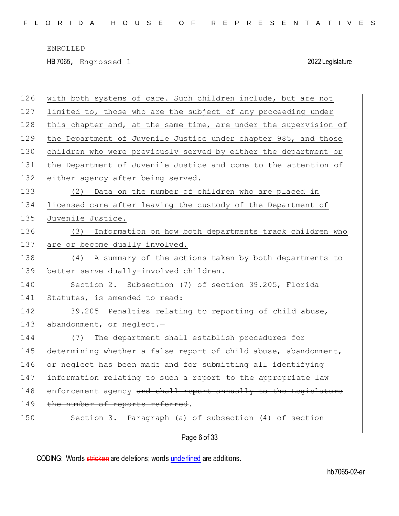HB 7065, Engrossed 1 2022 Legislature

| 126 | with both systems of care. Such children include, but are not    |
|-----|------------------------------------------------------------------|
| 127 | limited to, those who are the subject of any proceeding under    |
| 128 | this chapter and, at the same time, are under the supervision of |
| 129 | the Department of Juvenile Justice under chapter 985, and those  |
| 130 | children who were previously served by either the department or  |
| 131 | the Department of Juvenile Justice and come to the attention of  |
| 132 | either agency after being served.                                |
| 133 | Data on the number of children who are placed in<br>(2)          |
| 134 | licensed care after leaving the custody of the Department of     |
| 135 | Juvenile Justice.                                                |
| 136 | Information on how both departments track children who<br>(3)    |
| 137 | are or become dually involved.                                   |
| 138 | A summary of the actions taken by both departments to<br>(4)     |
| 139 | better serve dually-involved children.                           |
| 140 | Section 2. Subsection (7) of section 39.205, Florida             |
| 141 | Statutes, is amended to read:                                    |
| 142 | 39.205 Penalties relating to reporting of child abuse,           |
| 143 | abandonment, or neglect.-                                        |
| 144 | The department shall establish procedures for<br>(7)             |
| 145 | determining whether a false report of child abuse, abandonment,  |
| 146 | or neglect has been made and for submitting all identifying      |
| 147 | information relating to such a report to the appropriate law     |
| 148 | enforcement agency and shall report annually to the Legislature  |
| 149 | the number of reports referred.                                  |
| 150 | Section 3. Paragraph (a) of subsection (4) of section            |
|     | Page 6 of 33                                                     |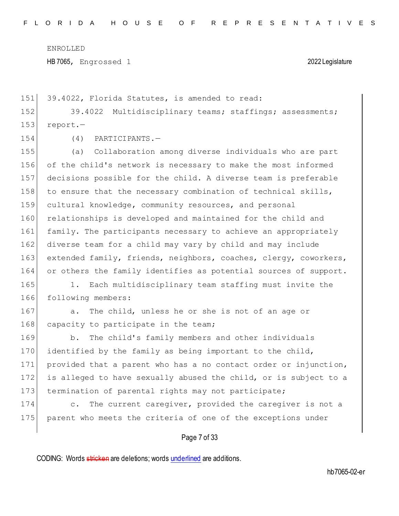HB 7065, Engrossed 1 2022 Legislature

151 39.4022, Florida Statutes, is amended to read:

152 39.4022 Multidisciplinary teams; staffings; assessments; 153 report.-

154 (4) PARTICIPANTS.—

 (a) Collaboration among diverse individuals who are part of the child's network is necessary to make the most informed decisions possible for the child. A diverse team is preferable 158 to ensure that the necessary combination of technical skills, cultural knowledge, community resources, and personal relationships is developed and maintained for the child and family. The participants necessary to achieve an appropriately diverse team for a child may vary by child and may include 163 extended family, friends, neighbors, coaches, clergy, coworkers, 164 or others the family identifies as potential sources of support.

165 1. Each multidisciplinary team staffing must invite the 166 following members:

167 a. The child, unless he or she is not of an age or 168 capacity to participate in the team;

169 b. The child's family members and other individuals 170 identified by the family as being important to the child, 171 provided that a parent who has a no contact order or injunction, 172 is alleged to have sexually abused the child, or is subject to a 173 termination of parental rights may not participate;

174 c. The current caregiver, provided the caregiver is not a 175 parent who meets the criteria of one of the exceptions under

Page 7 of 33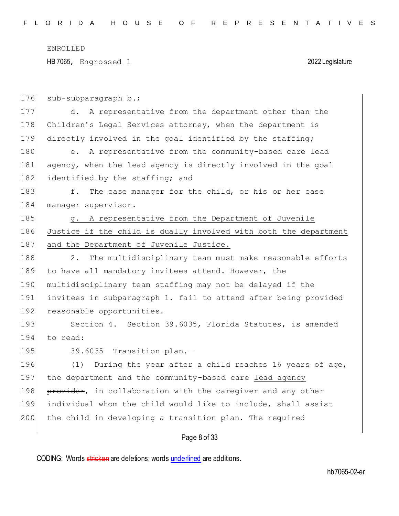HB 7065, Engrossed 1 2022 Legislature

| 176 | sub-subparagraph b.;                                                  |
|-----|-----------------------------------------------------------------------|
| 177 | d. A representative from the department other than the                |
| 178 | Children's Legal Services attorney, when the department is            |
| 179 | directly involved in the goal identified by the staffing;             |
| 180 | A representative from the community-based care lead<br>e <sub>1</sub> |
| 181 | agency, when the lead agency is directly involved in the goal         |
| 182 | identified by the staffing; and                                       |
| 183 | f. The case manager for the child, or his or her case                 |
| 184 | manager supervisor.                                                   |
| 185 | g. A representative from the Department of Juvenile                   |
| 186 | Justice if the child is dually involved with both the department      |
| 187 | and the Department of Juvenile Justice.                               |
| 188 | 2.<br>The multidisciplinary team must make reasonable efforts         |
| 189 | to have all mandatory invitees attend. However, the                   |
| 190 | multidisciplinary team staffing may not be delayed if the             |
| 191 | invitees in subparagraph 1. fail to attend after being provided       |
| 192 | reasonable opportunities.                                             |
| 193 | Section 4. Section 39.6035, Florida Statutes, is amended              |
| 194 | to read:                                                              |
| 195 | 39.6035 Transition plan.-                                             |
| 196 | (1) During the year after a child reaches 16 years of age,            |
| 197 | the department and the community-based care lead agency               |
| 198 | provider, in collaboration with the caregiver and any other           |
| 199 | individual whom the child would like to include, shall assist         |
| 200 | the child in developing a transition plan. The required               |
|     |                                                                       |

Page 8 of 33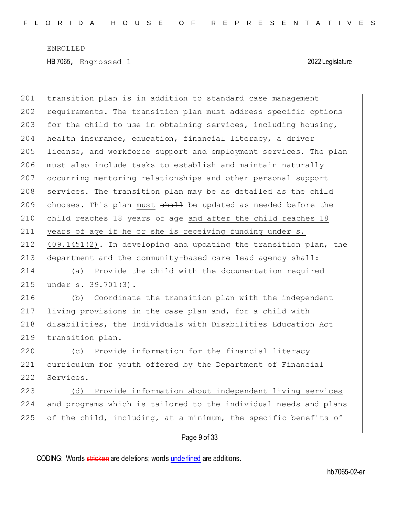201 transition plan is in addition to standard case management 202 requirements. The transition plan must address specific options 203 for the child to use in obtaining services, including housing, 204 health insurance, education, financial literacy, a driver 205 license, and workforce support and employment services. The plan 206 must also include tasks to establish and maintain naturally 207 occurring mentoring relationships and other personal support 208 services. The transition plan may be as detailed as the child 209 chooses. This plan must  $shall$  be updated as needed before the 210 child reaches 18 years of age and after the child reaches 18 211 years of age if he or she is receiving funding under s. 212  $409.1451(2)$ . In developing and updating the transition plan, the 213 department and the community-based care lead agency shall: 214 (a) Provide the child with the documentation required 215 under s. 39.701(3). 216 (b) Coordinate the transition plan with the independent 217 living provisions in the case plan and, for a child with 218 disabilities, the Individuals with Disabilities Education Act 219 transition plan. 220 (c) Provide information for the financial literacy 221 curriculum for youth offered by the Department of Financial 222 Services. 223 (d) Provide information about independent living services 224 and programs which is tailored to the individual needs and plans 225 of the child, including, at a minimum, the specific benefits of

## Page 9 of 33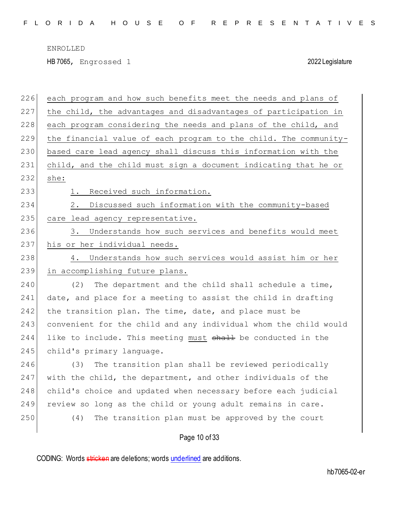HB 7065, Engrossed 1 2022 Legislature

| 226 | each program and how such benefits meet the needs and plans of   |
|-----|------------------------------------------------------------------|
| 227 | the child, the advantages and disadvantages of participation in  |
| 228 | each program considering the needs and plans of the child, and   |
| 229 | the financial value of each program to the child. The community- |
| 230 | based care lead agency shall discuss this information with the   |
| 231 | child, and the child must sign a document indicating that he or  |
| 232 | she:                                                             |
| 233 | Received such information.<br>1.                                 |
| 234 | Discussed such information with the community-based<br>2.        |
| 235 | care lead agency representative.                                 |
| 236 | Understands how such services and benefits would meet<br>3.      |
| 237 | his or her individual needs.                                     |
| 238 | Understands how such services would assist him or her<br>4.      |
| 239 | in accomplishing future plans.                                   |
| 240 | (2)<br>The department and the child shall schedule a time,       |
| 241 | date, and place for a meeting to assist the child in drafting    |
| 242 | the transition plan. The time, date, and place must be           |
| 243 | convenient for the child and any individual whom the child would |
| 244 | like to include. This meeting must shall be conducted in the     |
| 245 | child's primary language.                                        |
| 246 | The transition plan shall be reviewed periodically<br>(3)        |
| 247 | with the child, the department, and other individuals of the     |
| 248 | child's choice and updated when necessary before each judicial   |
| 249 | review so long as the child or young adult remains in care.      |
| 250 | The transition plan must be approved by the court<br>(4)         |
|     |                                                                  |

Page 10 of 33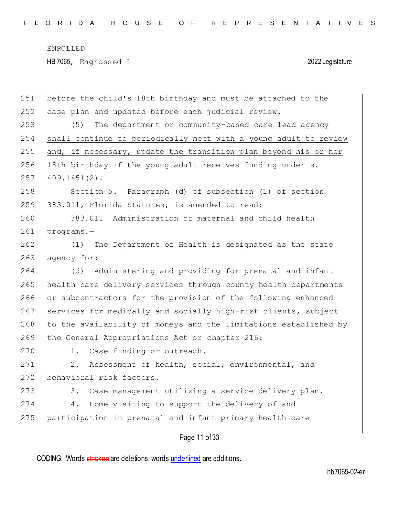| 251 | before the child's 18th birthday and must be attached to the     |
|-----|------------------------------------------------------------------|
| 252 | case plan and updated before each judicial review.               |
| 253 | (5) The department or community-based care lead agency           |
| 254 | shall continue to periodically meet with a young adult to review |
| 255 | and, if necessary, update the transition plan beyond his or her  |
| 256 | 18th birthday if the young adult receives funding under s.       |
| 257 | $409.1451(2)$ .                                                  |
| 258 | Section 5. Paragraph (d) of subsection (1) of section            |
| 259 | 383.011, Florida Statutes, is amended to read:                   |
| 260 | 383.011 Administration of maternal and child health              |
| 261 | programs.-                                                       |
| 262 | The Department of Health is designated as the state<br>(1)       |
| 263 | agency for:                                                      |
| 264 | Administering and providing for prenatal and infant<br>(d)       |
| 265 | health care delivery services through county health departments  |
| 266 | or subcontractors for the provision of the following enhanced    |
| 267 | services for medically and socially high-risk clients, subject   |
| 268 | to the availability of moneys and the limitations established by |
| 269 |                                                                  |
|     | the General Appropriations Act or chapter 216:                   |
| 270 | 1. Case finding or outreach.                                     |
| 271 | Assessment of health, social, environmental, and<br>2.           |
| 272 | behavioral risk factors.                                         |
| 273 | Case management utilizing a service delivery plan.<br>3.         |
| 274 | Home visiting to support the delivery of and<br>4.               |
| 275 | participation in prenatal and infant primary health care         |

Page 11 of 33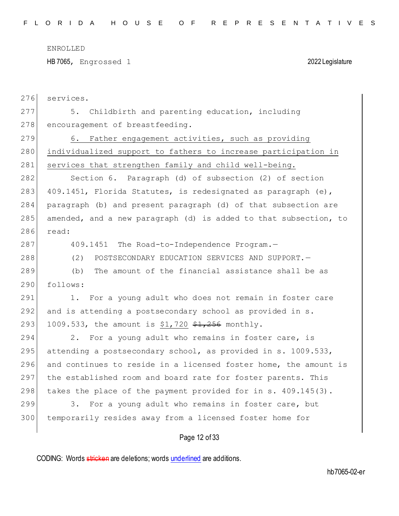HB 7065, Engrossed 1 2022 Legislature

| 276 | services.                                                        |
|-----|------------------------------------------------------------------|
| 277 | Childbirth and parenting education, including<br>5.              |
| 278 | encouragement of breastfeeding.                                  |
| 279 | 6. Father engagement activities, such as providing               |
| 280 | individualized support to fathers to increase participation in   |
| 281 | services that strengthen family and child well-being.            |
| 282 | Section 6. Paragraph (d) of subsection (2) of section            |
| 283 | 409.1451, Florida Statutes, is redesignated as paragraph (e),    |
| 284 | paragraph (b) and present paragraph (d) of that subsection are   |
| 285 | amended, and a new paragraph (d) is added to that subsection, to |
| 286 | read:                                                            |
| 287 | 409.1451 The Road-to-Independence Program.-                      |
| 288 | (2)<br>POSTSECONDARY EDUCATION SERVICES AND SUPPORT. -           |
| 289 | The amount of the financial assistance shall be as<br>(b)        |
| 290 | follows:                                                         |
| 291 | For a young adult who does not remain in foster care<br>1.       |
| 292 | and is attending a postsecondary school as provided in s.        |
| 293 | 1009.533, the amount is \$1,720 $$1,256$ monthly.                |
| 294 | For a young adult who remains in foster care, is<br>2.           |
| 295 | attending a postsecondary school, as provided in s. 1009.533,    |
| 296 | and continues to reside in a licensed foster home, the amount is |
| 297 | the established room and board rate for foster parents. This     |
| 298 | takes the place of the payment provided for in s. 409.145(3).    |
| 299 | For a young adult who remains in foster care, but<br>3.          |
| 300 | temporarily resides away from a licensed foster home for         |
|     | Page 12 of 33                                                    |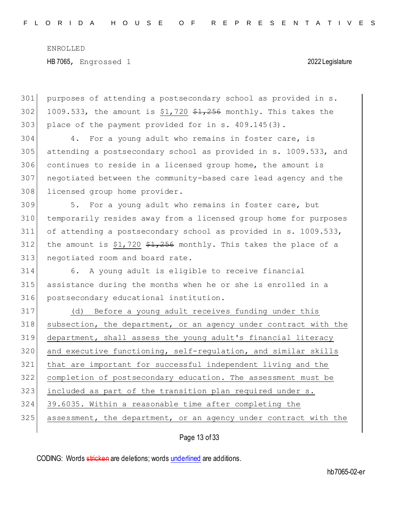301 purposes of attending a postsecondary school as provided in s. 302 1009.533, the amount is  $$1,720$   $$1,256$  monthly. This takes the 303 place of the payment provided for in s. 409.145(3).

304 4. For a young adult who remains in foster care, is 305 attending a postsecondary school as provided in s. 1009.533, and 306 continues to reside in a licensed group home, the amount is 307 negotiated between the community-based care lead agency and the 308 licensed group home provider.

309 5. For a young adult who remains in foster care, but 310 temporarily resides away from a licensed group home for purposes 311 of attending a postsecondary school as provided in s. 1009.533, 312 the amount is \$1,720  $\frac{1}{256}$  monthly. This takes the place of a 313 negotiated room and board rate.

314 6. A young adult is eligible to receive financial 315 assistance during the months when he or she is enrolled in a 316 postsecondary educational institution.

317 (d) Before a young adult receives funding under this subsection, the department, or an agency under contract with the department, shall assess the young adult's financial literacy and executive functioning, self-regulation, and similar skills that are important for successful independent living and the completion of postsecondary education. The assessment must be included as part of the transition plan required under s. 39.6035. Within a reasonable time after completing the 325 assessment, the department, or an agency under contract with the

Page 13 of 33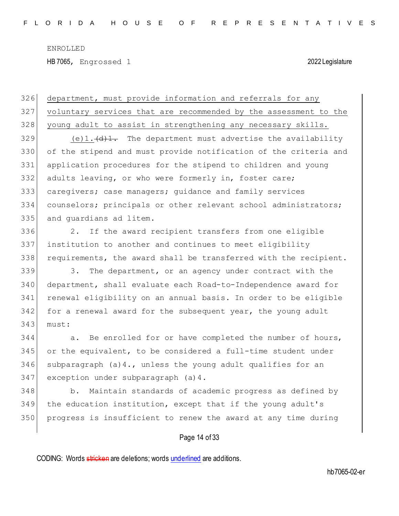| 326 | department, must provide information and referrals for any                     |
|-----|--------------------------------------------------------------------------------|
| 327 | voluntary services that are recommended by the assessment to the               |
| 328 | young adult to assist in strengthening any necessary skills.                   |
| 329 | (e)1. $\left\{\theta\right\}$ . The department must advertise the availability |
| 330 | of the stipend and must provide notification of the criteria and               |
| 331 | application procedures for the stipend to children and young                   |
| 332 | adults leaving, or who were formerly in, foster care;                          |
| 333 | caregivers; case managers; guidance and family services                        |
| 334 | counselors; principals or other relevant school administrators;                |
| 335 | and quardians ad litem.                                                        |
| 336 | If the award recipient transfers from one eligible<br>2.                       |
| 337 | institution to another and continues to meet eligibility                       |
| 338 | requirements, the award shall be transferred with the recipient.               |
| 339 | The department, or an agency under contract with the<br>3.                     |
| 340 | department, shall evaluate each Road-to-Independence award for                 |
| 341 | renewal eligibility on an annual basis. In order to be eligible                |
| 342 | for a renewal award for the subsequent year, the young adult                   |
| 343 | must:                                                                          |
| 344 | a. Be enrolled for or have completed the number of hours,                      |
| 345 | or the equivalent, to be considered a full-time student under                  |
| 346 | subparagraph $(a)$ 4., unless the young adult qualifies for an                 |
| 347 | exception under subparagraph (a) 4.                                            |
| 348 | b. Maintain standards of academic progress as defined by                       |
| 349 | the education institution, except that if the young adult's                    |

# Page 14 of 33

350 progress is insufficient to renew the award at any time during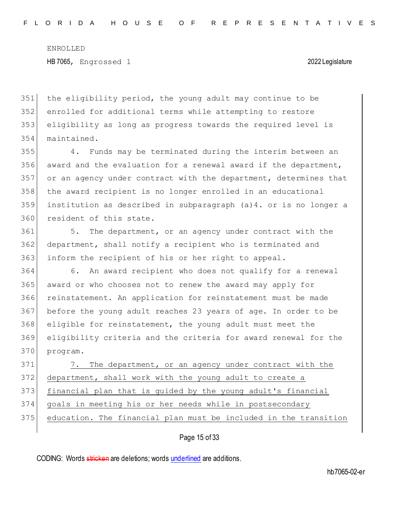the eligibility period, the young adult may continue to be enrolled for additional terms while attempting to restore eligibility as long as progress towards the required level is maintained.

 4. Funds may be terminated during the interim between an award and the evaluation for a renewal award if the department, or an agency under contract with the department, determines that the award recipient is no longer enrolled in an educational institution as described in subparagraph (a)4. or is no longer a 360 resident of this state.

 5. The department, or an agency under contract with the department, shall notify a recipient who is terminated and inform the recipient of his or her right to appeal.

 6. An award recipient who does not qualify for a renewal award or who chooses not to renew the award may apply for reinstatement. An application for reinstatement must be made before the young adult reaches 23 years of age. In order to be eligible for reinstatement, the young adult must meet the eligibility criteria and the criteria for award renewal for the program.

371 7. The department, or an agency under contract with the department, shall work with the young adult to create a financial plan that is guided by the young adult's financial goals in meeting his or her needs while in postsecondary 375 education. The financial plan must be included in the transition

## Page 15 of 33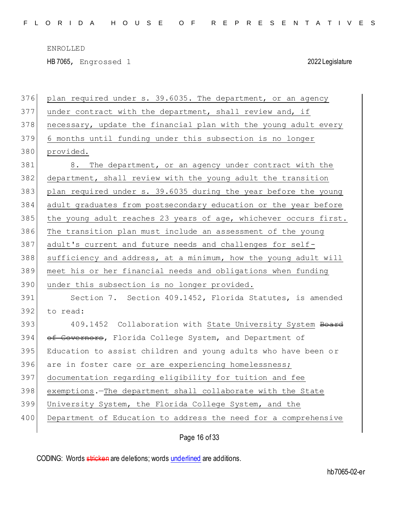HB 7065, Engrossed 1 2022 Legislature

| 376 | plan required under s. 39.6035. The department, or an agency     |
|-----|------------------------------------------------------------------|
| 377 | under contract with the department, shall review and, if         |
| 378 | necessary, update the financial plan with the young adult every  |
| 379 | 6 months until funding under this subsection is no longer        |
| 380 | provided.                                                        |
| 381 | 8. The department, or an agency under contract with the          |
| 382 | department, shall review with the young adult the transition     |
| 383 | plan required under s. 39.6035 during the year before the young  |
| 384 | adult graduates from postsecondary education or the year before  |
| 385 | the young adult reaches 23 years of age, whichever occurs first. |
| 386 | The transition plan must include an assessment of the young      |
| 387 | adult's current and future needs and challenges for self-        |
| 388 | sufficiency and address, at a minimum, how the young adult will  |
| 389 | meet his or her financial needs and obligations when funding     |
| 390 | under this subsection is no longer provided.                     |
| 391 | Section 7. Section 409.1452, Florida Statutes, is amended        |
| 392 | to read:                                                         |
| 393 | 409.1452 Collaboration with State University System Board        |
| 394 | of Governors, Florida College System, and Department of          |
| 395 | Education to assist children and young adults who have been or   |
| 396 | are in foster care or are experiencing homelessness;             |
| 397 | documentation regarding eligibility for tuition and fee          |
| 398 | exemptions. The department shall collaborate with the State      |
| 399 | University System, the Florida College System, and the           |
| 400 | Department of Education to address the need for a comprehensive  |
|     | Page 16 of 33                                                    |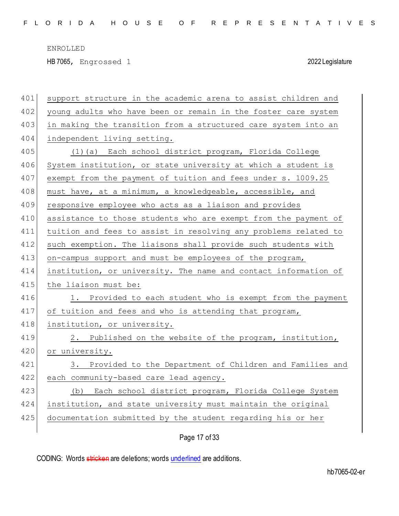HB 7065, Engrossed 1 2022 Legislature

| 401 | support structure in the academic arena to assist children and  |
|-----|-----------------------------------------------------------------|
| 402 | young adults who have been or remain in the foster care system  |
| 403 | in making the transition from a structured care system into an  |
| 404 | independent living setting.                                     |
| 405 | (1)(a) Each school district program, Florida College            |
| 406 | System institution, or state university at which a student is   |
| 407 | exempt from the payment of tuition and fees under s. 1009.25    |
| 408 | must have, at a minimum, a knowledgeable, accessible, and       |
| 409 | responsive employee who acts as a liaison and provides          |
| 410 | assistance to those students who are exempt from the payment of |
| 411 | tuition and fees to assist in resolving any problems related to |
| 412 | such exemption. The liaisons shall provide such students with   |
| 413 | on-campus support and must be employees of the program,         |
| 414 | institution, or university. The name and contact information of |
| 415 | the liaison must be:                                            |
| 416 | 1. Provided to each student who is exempt from the payment      |
| 417 | of tuition and fees and who is attending that program,          |
| 418 | institution, or university.                                     |
| 419 | 2. Published on the website of the program, institution,        |
| 420 | or university.                                                  |
| 421 | 3. Provided to the Department of Children and Families and      |
| 422 | each community-based care lead agency.                          |
| 423 | (b) Each school district program, Florida College System        |
| 424 | institution, and state university must maintain the original    |
| 425 | documentation submitted by the student regarding his or her     |
|     |                                                                 |

Page 17 of 33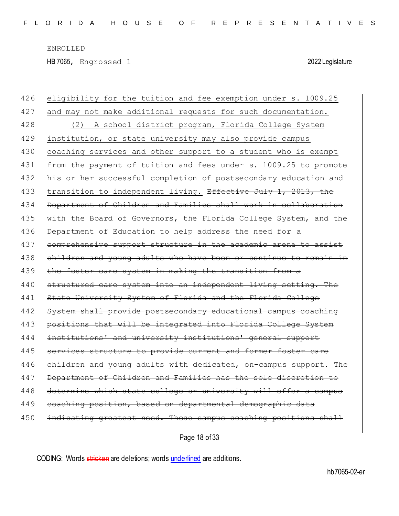HB 7065, Engrossed 1 2022 Legislature

| 426 | eligibility for the tuition and fee exemption under s. 1009.25   |
|-----|------------------------------------------------------------------|
| 427 | and may not make additional requests for such documentation.     |
| 428 | A school district program, Florida College System<br>(2)         |
| 429 | institution, or state university may also provide campus         |
| 430 | coaching services and other support to a student who is exempt   |
| 431 | from the payment of tuition and fees under s. 1009.25 to promote |
| 432 | his or her successful completion of postsecondary education and  |
| 433 | transition to independent living. Effective July 1, 2013, the    |
| 434 | Department of Children and Families shall work in collaboration  |
| 435 | with the Board of Governors, the Florida College System, and the |
| 436 | Department of Education to help address the need for a           |
| 437 | comprehensive support structure in the academic arena to assist  |
| 438 | children and young adults who have been or continue to remain in |
| 439 | the foster care system in making the transition from a           |
| 440 | structured care system into an independent living setting. The   |
| 441 | State University System of Florida and the Florida College       |
| 442 | System shall provide postsecondary educational campus coaching   |
| 443 | positions that will be integrated into Florida College System    |
| 444 | institutions' and university institutions' general support       |
| 445 | services structure to provide current and former foster care     |
| 446 | children and young adults with dedicated, on-campus support. The |
| 447 | Department of Children and Families has the sole discretion to   |
| 448 | determine which state college or university will offer a campus  |
| 449 | coaching position, based on departmental demographic data        |
| 450 | indicating greatest need. These campus coaching positions shall  |
|     |                                                                  |

Page 18 of 33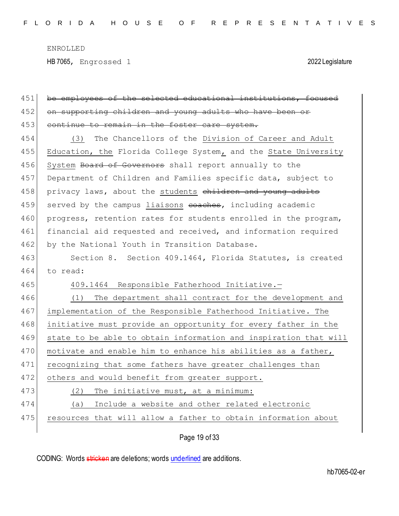HB 7065, Engrossed 1 2022 Legislature

| 451 | be employees of the selected educational institutions, focused   |
|-----|------------------------------------------------------------------|
| 452 | on supporting children and young adults who have been or         |
| 453 | continue to remain in the foster care system.                    |
| 454 | The Chancellors of the Division of Career and Adult<br>(3)       |
| 455 | Education, the Florida College System, and the State University  |
| 456 | System Board of Governors shall report annually to the           |
| 457 | Department of Children and Families specific data, subject to    |
| 458 | privacy laws, about the students children and young adults       |
| 459 | served by the campus liaisons eoaches, including academic        |
| 460 | progress, retention rates for students enrolled in the program,  |
| 461 | financial aid requested and received, and information required   |
| 462 | by the National Youth in Transition Database.                    |
| 463 | Section 8. Section 409.1464, Florida Statutes, is created        |
| 464 | to read:                                                         |
|     |                                                                  |
| 465 | 409.1464 Responsible Fatherhood Initiative.-                     |
| 466 | The department shall contract for the development and<br>(1)     |
| 467 | implementation of the Responsible Fatherhood Initiative. The     |
| 468 | initiative must provide an opportunity for every father in the   |
| 469 | state to be able to obtain information and inspiration that will |
| 470 | motivate and enable him to enhance his abilities as a father,    |
| 471 | recognizing that some fathers have greater challenges than       |
| 472 | others and would benefit from greater support.                   |
| 473 | (2) The initiative must, at a minimum:                           |
| 474 | Include a website and other related electronic<br>(a)            |
| 475 | resources that will allow a father to obtain information about   |

Page 19 of 33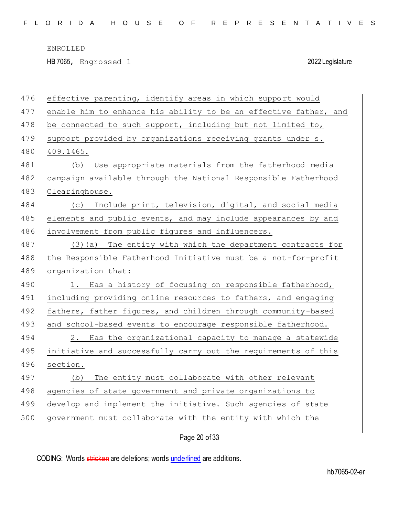HB 7065, Engrossed 1 2022 Legislature

| 476 | effective parenting, identify areas in which support would       |
|-----|------------------------------------------------------------------|
| 477 | enable him to enhance his ability to be an effective father, and |
| 478 | be connected to such support, including but not limited to,      |
| 479 | support provided by organizations receiving grants under s.      |
| 480 | 409.1465.                                                        |
| 481 | Use appropriate materials from the fatherhood media<br>(b)       |
| 482 | campaign available through the National Responsible Fatherhood   |
| 483 | Clearinghouse.                                                   |
| 484 | (c) Include print, television, digital, and social media         |
| 485 | elements and public events, and may include appearances by and   |
| 486 | involvement from public figures and influencers.                 |
| 487 | $(3)$ (a) The entity with which the department contracts for     |
| 488 | the Responsible Fatherhood Initiative must be a not-for-profit   |
| 489 | organization that:                                               |
| 490 | 1. Has a history of focusing on responsible fatherhood,          |
| 491 | including providing online resources to fathers, and engaging    |
| 492 | fathers, father figures, and children through community-based    |
| 493 | and school-based events to encourage responsible fatherhood.     |
| 494 | 2. Has the organizational capacity to manage a statewide         |
| 495 | initiative and successfully carry out the requirements of this   |
| 496 | section.                                                         |
| 497 | The entity must collaborate with other relevant<br>(b)           |
| 498 | agencies of state government and private organizations to        |
| 499 |                                                                  |
|     | develop and implement the initiative. Such agencies of state     |
| 500 | government must collaborate with the entity with which the       |

Page 20 of 33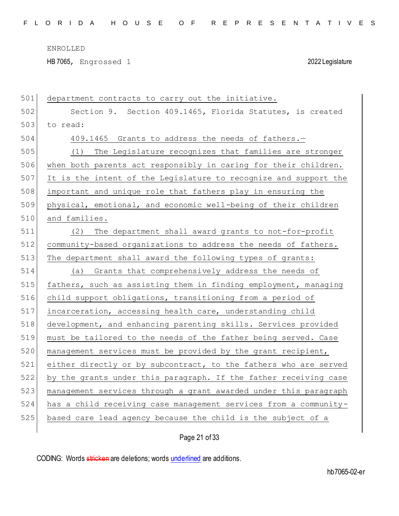HB 7065, Engrossed 1 2022 Legislature

| 501 | department contracts to carry out the initiative.                |
|-----|------------------------------------------------------------------|
| 502 | Section 9. Section 409.1465, Florida Statutes, is created        |
| 503 | to read:                                                         |
| 504 | 409.1465 Grants to address the needs of fathers.-                |
| 505 | (1) The Legislature recognizes that families are stronger        |
| 506 | when both parents act responsibly in caring for their children.  |
| 507 | It is the intent of the Legislature to recognize and support the |
| 508 | important and unique role that fathers play in ensuring the      |
| 509 | physical, emotional, and economic well-being of their children   |
| 510 | and families.                                                    |
| 511 | The department shall award grants to not-for-profit<br>(2)       |
| 512 | community-based organizations to address the needs of fathers.   |
| 513 | The department shall award the following types of grants:        |
| 514 | (a) Grants that comprehensively address the needs of             |
| 515 | fathers, such as assisting them in finding employment, managing  |
| 516 | child support obligations, transitioning from a period of        |
| 517 | incarceration, accessing health care, understanding child        |
| 518 | development, and enhancing parenting skills. Services provided   |
| 519 | must be tailored to the needs of the father being served. Case   |
| 520 | management services must be provided by the grant recipient,     |
| 521 | either directly or by subcontract, to the fathers who are served |
| 522 | by the grants under this paragraph. If the father receiving case |
| 523 | management services through a grant awarded under this paragraph |
| 524 | has a child receiving case management services from a community- |
| 525 | based care lead agency because the child is the subject of a     |
|     |                                                                  |

# Page 21 of 33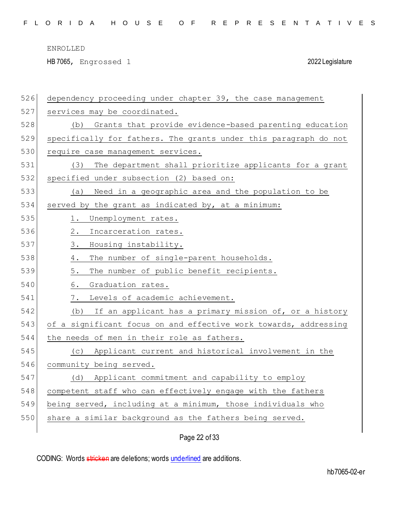HB 7065, Engrossed 1 2022 Legislature

| 526 | dependency proceeding under chapter 39, the case management      |
|-----|------------------------------------------------------------------|
| 527 | services may be coordinated.                                     |
| 528 | Grants that provide evidence-based parenting education<br>(b)    |
| 529 | specifically for fathers. The grants under this paragraph do not |
| 530 | require case management services.                                |
| 531 | The department shall prioritize applicants for a grant<br>(3)    |
| 532 | specified under subsection (2) based on:                         |
| 533 | Need in a geographic area and the population to be<br>(a)        |
| 534 | served by the grant as indicated by, at a minimum:               |
| 535 | Unemployment rates.<br>1.                                        |
| 536 | $2$ .<br>Incarceration rates.                                    |
| 537 | 3.<br>Housing instability.                                       |
| 538 | The number of single-parent households.<br>4.                    |
| 539 | 5.<br>The number of public benefit recipients.                   |
| 540 | 6.<br>Graduation rates.                                          |
| 541 | Levels of academic achievement.<br>7.                            |
| 542 | If an applicant has a primary mission of, or a history<br>(b)    |
| 543 | of a significant focus on and effective work towards, addressing |
| 544 | the needs of men in their role as fathers.                       |
| 545 | (c) Applicant current and historical involvement in the          |
| 546 | community being served.                                          |
| 547 | Applicant commitment and capability to employ<br>(d)             |
| 548 | competent staff who can effectively engage with the fathers      |
| 549 | being served, including at a minimum, those individuals who      |
| 550 | share a similar background as the fathers being served.          |
|     |                                                                  |

Page 22 of 33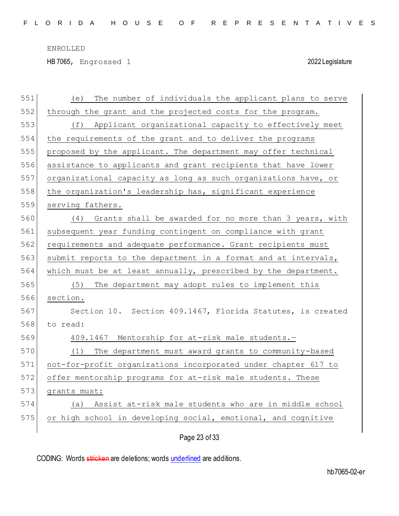HB 7065, Engrossed 1 2022 Legislature

| 551 | The number of individuals the applicant plans to serve<br>(e)  |
|-----|----------------------------------------------------------------|
| 552 | through the grant and the projected costs for the program.     |
| 553 | (f) Applicant organizational capacity to effectively meet      |
| 554 | the requirements of the grant and to deliver the programs      |
| 555 | proposed by the applicant. The department may offer technical  |
| 556 | assistance to applicants and grant recipients that have lower  |
| 557 | organizational capacity as long as such organizations have, or |
| 558 | the organization's leadership has, significant experience      |
| 559 | serving fathers.                                               |
| 560 | (4) Grants shall be awarded for no more than 3 years, with     |
| 561 | subsequent year funding contingent on compliance with grant    |
| 562 | requirements and adequate performance. Grant recipients must   |
| 563 | submit reports to the department in a format and at intervals, |
| 564 | which must be at least annually, prescribed by the department. |
| 565 | The department may adopt rules to implement this<br>(5)        |
| 566 | section.                                                       |
| 567 | Section 10. Section 409.1467, Florida Statutes, is created     |
| 568 | to read:                                                       |
| 569 | 409.1467 Mentorship for at-risk male students.-                |
| 570 | The department must award grants to community-based<br>(1)     |
| 571 | not-for-profit organizations incorporated under chapter 617 to |
| 572 | offer mentorship programs for at-risk male students. These     |
| 573 | grants must:                                                   |
| 574 | (a) Assist at-risk male students who are in middle school      |
| 575 | or high school in developing social, emotional, and cognitive  |
|     |                                                                |

Page 23 of 33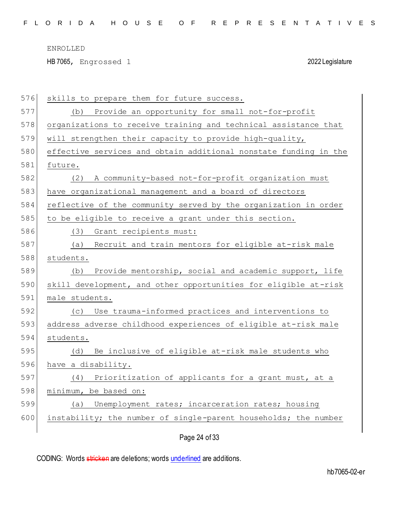HB 7065, Engrossed 1 2022 Legislature

| 576 | skills to prepare them for future success.                       |
|-----|------------------------------------------------------------------|
| 577 | (b) Provide an opportunity for small not-for-profit              |
| 578 | organizations to receive training and technical assistance that  |
| 579 | will strengthen their capacity to provide high-quality,          |
| 580 | effective services and obtain additional nonstate funding in the |
| 581 | future.                                                          |
| 582 | A community-based not-for-profit organization must<br>(2)        |
| 583 | have organizational management and a board of directors          |
| 584 | reflective of the community served by the organization in order  |
| 585 | to be eligible to receive a grant under this section.            |
| 586 | Grant recipients must:<br>(3)                                    |
| 587 | Recruit and train mentors for eligible at-risk male<br>(a)       |
| 588 | students.                                                        |
| 589 | Provide mentorship, social and academic support, life<br>(b)     |
| 590 | skill development, and other opportunities for eligible at-risk  |
| 591 | male students.                                                   |
| 592 | Use trauma-informed practices and interventions to<br>(C)        |
| 593 | address adverse childhood experiences of eligible at-risk male   |
| 594 | students.                                                        |
| 595 | Be inclusive of eligible at-risk male students who<br>(d)        |
| 596 | have a disability.                                               |
| 597 | (4) Prioritization of applicants for a grant must, at a          |
| 598 | minimum, be based on:                                            |
| 599 | Unemployment rates; incarceration rates; housing<br>(a)          |
| 600 | instability; the number of single-parent households; the number  |
|     |                                                                  |

Page 24 of 33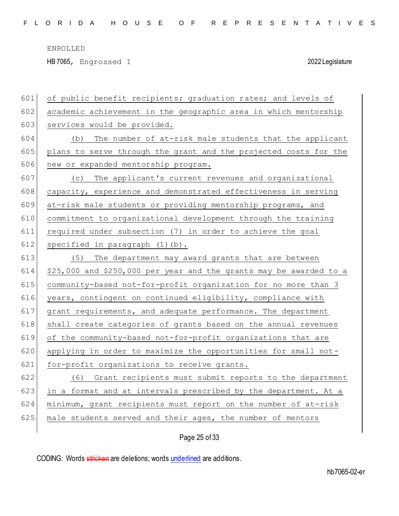HB 7065, Engrossed 1 2022 Legislature

| 601 | of public benefit recipients; graduation rates; and levels of      |
|-----|--------------------------------------------------------------------|
| 602 | academic achievement in the geographic area in which mentorship    |
| 603 | services would be provided.                                        |
| 604 | The number of at-risk male students that the applicant<br>(b)      |
| 605 | plans to serve through the grant and the projected costs for the   |
| 606 | new or expanded mentorship program.                                |
| 607 | (c) The applicant's current revenues and organizational            |
| 608 | capacity, experience and demonstrated effectiveness in serving     |
| 609 | at-risk male students or providing mentorship programs, and        |
| 610 | commitment to organizational development through the training      |
| 611 | required under subsection (7) in order to achieve the goal         |
| 612 | specified in paragraph $(1)$ $(b)$ .                               |
| 613 | The department may award grants that are between<br>(5)            |
| 614 | \$25,000 and \$250,000 per year and the grants may be awarded to a |
|     |                                                                    |
| 615 | community-based not-for-profit organization for no more than 3     |
| 616 | years, contingent on continued eligibility, compliance with        |
| 617 | grant requirements, and adequate performance. The department       |
| 618 | shall create categories of grants based on the annual revenues     |
| 619 | of the community-based not-for-profit organizations that are       |
| 620 | applying in order to maximize the opportunities for small not-     |
| 621 | for-profit organizations to receive grants.                        |
| 622 | (6) Grant recipients must submit reports to the department         |
| 623 | in a format and at intervals prescribed by the department. At a    |
| 624 | minimum, grant recipients must report on the number of at-risk     |
| 625 | male students served and their ages, the number of mentors         |

Page 25 of 33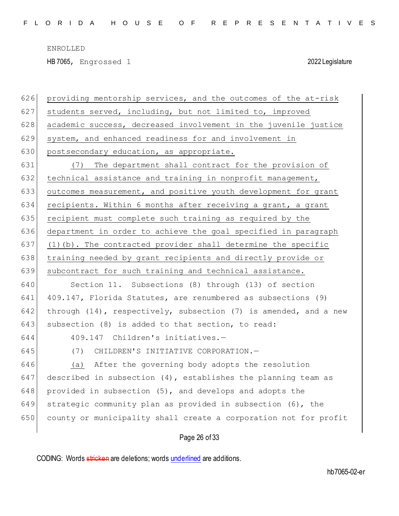HB 7065, Engrossed 1 2022 Legislature

 providing mentorship services, and the outcomes of the at-risk students served, including, but not limited to, improved 628 academic success, decreased involvement in the juvenile justice system, and enhanced readiness for and involvement in 630 postsecondary education, as appropriate. (7) The department shall contract for the provision of

632 technical assistance and training in nonprofit management, 633 outcomes measurement, and positive youth development for grant 634 recipients. Within 6 months after receiving a grant, a grant 635 recipient must complete such training as required by the 636 department in order to achieve the goal specified in paragraph 637 (1)(b). The contracted provider shall determine the specific 638 training needed by grant recipients and directly provide or 639 subcontract for such training and technical assistance.

 Section 11. Subsections (8) through (13) of section 409.147, Florida Statutes, are renumbered as subsections (9) 642 through (14), respectively, subsection (7) is amended, and a new subsection (8) is added to that section, to read:

- 
- 644 409.147 Children's initiatives.—
	-

645 (7) CHILDREN'S INITIATIVE CORPORATION.—

646 (a) After the governing body adopts the resolution 647 described in subsection  $(4)$ , establishes the planning team as 648 provided in subsection  $(5)$ , and develops and adopts the 649 strategic community plan as provided in subsection  $(6)$ , the 650 county or municipality shall create a corporation not for profit

### Page 26 of 33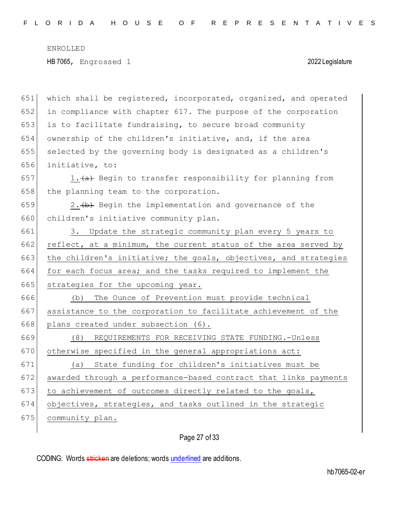651 which shall be registered, incorporated, organized, and operated 652 in compliance with chapter 617. The purpose of the corporation  $653$  is to facilitate fundraising, to secure broad community 654 ownership of the children's initiative, and, if the area 655 selected by the governing body is designated as a children's 656 initiative, to: 657 1. $\leftarrow$  1.  $\leftarrow$  Begin to transfer responsibility for planning from  $658$  the planning team to the corporation. 659 2.  $\leftrightarrow$  Begin the implementation and governance of the 660 children's initiative community plan. 661 3. Update the strategic community plan every 5 years to 662 reflect, at a minimum, the current status of the area served by 663 the children's initiative; the goals, objectives, and strategies 664 for each focus area; and the tasks required to implement the 665 strategies for the upcoming year. 666 (b) The Ounce of Prevention must provide technical 667 assistance to the corporation to facilitate achievement of the 668 plans created under subsection (6). 669 (8) REQUIREMENTS FOR RECEIVING STATE FUNDING.-Unless 670 otherwise specified in the general appropriations act: 671 (a) State funding for children's initiatives must be 672 awarded through a performance-based contract that links payments  $673$  to achievement of outcomes directly related to the goals, 674 objectives, strategies, and tasks outlined in the strategic 675 community plan.

## Page 27 of 33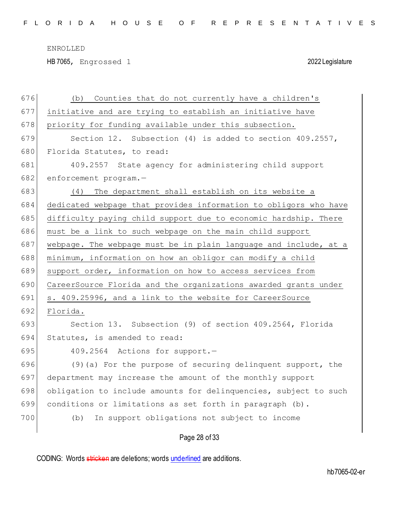HB 7065, Engrossed 1 2022 Legislature

| 676 | Counties that do not currently have a children's<br>(b)          |
|-----|------------------------------------------------------------------|
| 677 | initiative and are trying to establish an initiative have        |
| 678 | priority for funding available under this subsection.            |
| 679 | Section 12. Subsection (4) is added to section 409.2557,         |
| 680 | Florida Statutes, to read:                                       |
| 681 | 409.2557 State agency for administering child support            |
| 682 | enforcement program.-                                            |
| 683 | The department shall establish on its website a<br>(4)           |
| 684 | dedicated webpage that provides information to obligors who have |
| 685 | difficulty paying child support due to economic hardship. There  |
| 686 | must be a link to such webpage on the main child support         |
| 687 | webpage. The webpage must be in plain language and include, at a |
| 688 | minimum, information on how an obligor can modify a child        |
| 689 | support order, information on how to access services from        |
| 690 | CareerSource Florida and the organizations awarded grants under  |
| 691 | s. 409.25996, and a link to the website for CareerSource         |
| 692 | Florida.                                                         |
| 693 | Section 13. Subsection (9) of section 409.2564, Florida          |
| 694 | Statutes, is amended to read:                                    |
| 695 | 409.2564 Actions for support.-                                   |
| 696 | $(9)$ (a) For the purpose of securing delinquent support, the    |
| 697 | department may increase the amount of the monthly support        |
| 698 | obligation to include amounts for delinquencies, subject to such |
| 699 | conditions or limitations as set forth in paragraph (b).         |
| 700 | (b)<br>In support obligations not subject to income              |
|     |                                                                  |

Page 28 of 33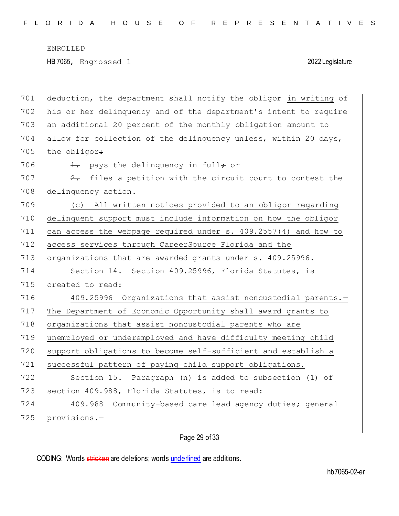| 701 | deduction, the department shall notify the obligor in writing of   |
|-----|--------------------------------------------------------------------|
| 702 | his or her delinquency and of the department's intent to require   |
| 703 | an additional 20 percent of the monthly obligation amount to       |
| 704 | allow for collection of the delinquency unless, within 20 days,    |
| 705 | the obligor:                                                       |
| 706 | 1. pays the delinquency in full; or                                |
| 707 | files a petition with the circuit court to contest the<br>$2\cdot$ |
| 708 | delinquency action.                                                |
| 709 | (c) All written notices provided to an obligor regarding           |
| 710 | delinquent support must include information on how the obligor     |
| 711 | can access the webpage required under s. 409.2557(4) and how to    |
| 712 | access services through CareerSource Florida and the               |
| 713 | organizations that are awarded grants under s. 409.25996.          |
| 714 | Section 14. Section 409.25996, Florida Statutes, is                |
| 715 | created to read:                                                   |
| 716 | 409.25996 Organizations that assist noncustodial parents.-         |
| 717 | The Department of Economic Opportunity shall award grants to       |
| 718 | organizations that assist noncustodial parents who are             |
| 719 | unemployed or underemployed and have difficulty meeting child      |
| 720 | support obligations to become self-sufficient and establish a      |
| 721 | successful pattern of paying child support obligations.            |
| 722 | Section 15. Paragraph (n) is added to subsection (1) of            |
| 723 | section 409.988, Florida Statutes, is to read:                     |
| 724 | 409.988<br>Community-based care lead agency duties; general        |
|     |                                                                    |
| 725 | provisions.-                                                       |

# Page 29 of 33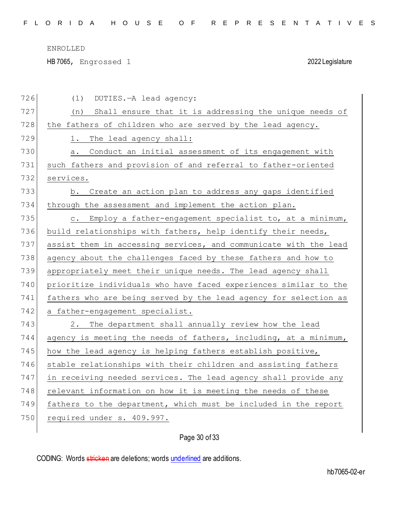HB 7065, Engrossed 1 2022 Legislature

| 726 | DUTIES. - A lead agency:<br>(1)                                  |
|-----|------------------------------------------------------------------|
| 727 | Shall ensure that it is addressing the unique needs of<br>(n)    |
| 728 | the fathers of children who are served by the lead agency.       |
| 729 | The lead agency shall:<br>1.                                     |
| 730 | Conduct an initial assessment of its engagement with<br>а.       |
| 731 | such fathers and provision of and referral to father-oriented    |
| 732 | services.                                                        |
| 733 | b. Create an action plan to address any gaps identified          |
| 734 | through the assessment and implement the action plan.            |
| 735 | c. Employ a father-engagement specialist to, at a minimum,       |
| 736 | build relationships with fathers, help identify their needs,     |
| 737 | assist them in accessing services, and communicate with the lead |
| 738 | agency about the challenges faced by these fathers and how to    |
| 739 | appropriately meet their unique needs. The lead agency shall     |
| 740 | prioritize individuals who have faced experiences similar to the |
| 741 | fathers who are being served by the lead agency for selection as |
| 742 | a father-engagement specialist.                                  |
| 743 | 2. The department shall annually review how the lead             |
| 744 | agency is meeting the needs of fathers, including, at a minimum, |
| 745 | how the lead agency is helping fathers establish positive,       |
| 746 | stable relationships with their children and assisting fathers   |
| 747 | in receiving needed services. The lead agency shall provide any  |
| 748 | relevant information on how it is meeting the needs of these     |
| 749 | fathers to the department, which must be included in the report  |
| 750 | required under s. 409.997.                                       |
|     |                                                                  |

# Page 30 of 33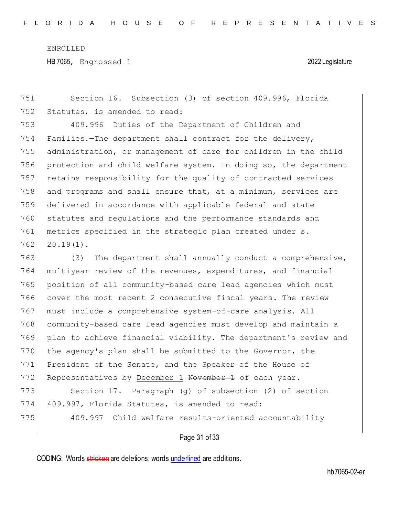Section 16. Subsection (3) of section 409.996, Florida 752 Statutes, is amended to read: 409.996 Duties of the Department of Children and Families.—The department shall contract for the delivery, administration, or management of care for children in the child protection and child welfare system. In doing so, the department retains responsibility for the quality of contracted services and programs and shall ensure that, at a minimum, services are delivered in accordance with applicable federal and state statutes and regulations and the performance standards and 761 metrics specified in the strategic plan created under s.  $20.19(1)$ . (3) The department shall annually conduct a comprehensive, multiyear review of the revenues, expenditures, and financial position of all community-based care lead agencies which must cover the most recent 2 consecutive fiscal years. The review 767 must include a comprehensive system-of-care analysis. All community-based care lead agencies must develop and maintain a plan to achieve financial viability. The department's review and 770 the agency's plan shall be submitted to the Governor, the President of the Senate, and the Speaker of the House of 772 Representatives by December 1 November 1 of each year. 773 Section 17. Paragraph (g) of subsection (2) of section 774 409.997, Florida Statutes, is amended to read: 409.997 Child welfare results-oriented accountability

## Page 31 of 33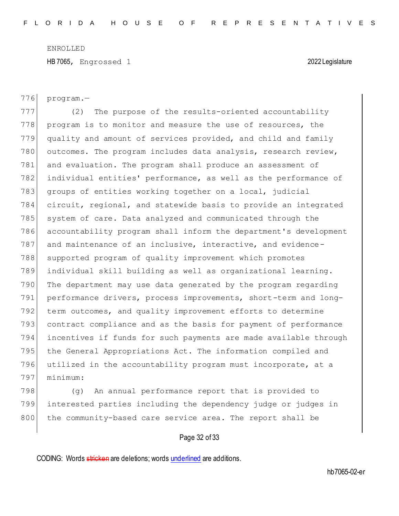HB 7065, Engrossed 1 2022 Legislature

776 program.—

777 (2) The purpose of the results-oriented accountability 778 program is to monitor and measure the use of resources, the 779 quality and amount of services provided, and child and family 780 outcomes. The program includes data analysis, research review, 781 and evaluation. The program shall produce an assessment of 782 individual entities' performance, as well as the performance of 783 groups of entities working together on a local, judicial 784 circuit, regional, and statewide basis to provide an integrated 785 system of care. Data analyzed and communicated through the 786 accountability program shall inform the department's development 787 and maintenance of an inclusive, interactive, and evidence-788 supported program of quality improvement which promotes 789 individual skill building as well as organizational learning. 790 The department may use data generated by the program regarding 791 performance drivers, process improvements, short-term and long-792 term outcomes, and quality improvement efforts to determine 793 contract compliance and as the basis for payment of performance 794 incentives if funds for such payments are made available through 795 the General Appropriations Act. The information compiled and 796 utilized in the accountability program must incorporate, at a 797 minimum:

798 (g) An annual performance report that is provided to 799 interested parties including the dependency judge or judges in 800 the community-based care service area. The report shall be

## Page 32 of 33